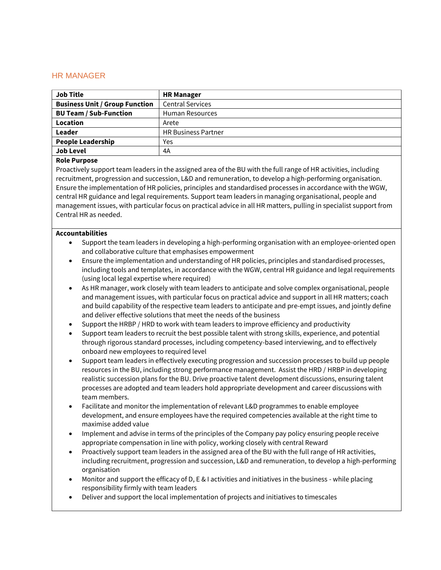## HR MANAGER

| <b>Job Title</b>                      | <b>HR Manager</b>          |
|---------------------------------------|----------------------------|
| <b>Business Unit / Group Function</b> | <b>Central Services</b>    |
| <b>BU Team / Sub-Function</b>         | <b>Human Resources</b>     |
| Location                              | Arete                      |
| Leader                                | <b>HR Business Partner</b> |
| <b>People Leadership</b>              | Yes                        |
| <b>Job Level</b>                      | 4A                         |

## **Role Purpose**

Proactively support team leaders in the assigned area of the BU with the full range of HR activities, including recruitment, progression and succession, L&D and remuneration, to develop a high-performing organisation. Ensure the implementation of HR policies, principles and standardised processes in accordance with the WGW, central HR guidance and legal requirements. Support team leaders in managing organisational, people and management issues, with particular focus on practical advice in all HR matters, pulling in specialist support from Central HR as needed.

## **Accountabilities**

- Support the team leaders in developing a high-performing organisation with an employee-oriented open and collaborative culture that emphasises empowerment
- Ensure the implementation and understanding of HR policies, principles and standardised processes, including tools and templates, in accordance with the WGW, central HR guidance and legal requirements (using local legal expertise where required)
- As HR manager, work closely with team leaders to anticipate and solve complex organisational, people and management issues, with particular focus on practical advice and support in all HR matters; coach and build capability of the respective team leaders to anticipate and pre-empt issues, and jointly define and deliver effective solutions that meet the needs of the business
- Support the HRBP / HRD to work with team leaders to improve efficiency and productivity
- Support team leaders to recruit the best possible talent with strong skills, experience, and potential through rigorous standard processes, including competency-based interviewing, and to effectively onboard new employees to required level
- Support team leaders in effectively executing progression and succession processes to build up people resources in the BU, including strong performance management. Assist the HRD / HRBP in developing realistic succession plans for the BU. Drive proactive talent development discussions, ensuring talent processes are adopted and team leaders hold appropriate development and career discussions with team members.
- Facilitate and monitor the implementation of relevant L&D programmes to enable employee development, and ensure employees have the required competencies available at the right time to maximise added value
- Implement and advise in terms of the principles of the Company pay policy ensuring people receive appropriate compensation in line with policy, working closely with central Reward
- Proactively support team leaders in the assigned area of the BU with the full range of HR activities, including recruitment, progression and succession, L&D and remuneration, to develop a high-performing organisation
- Monitor and support the efficacy of D, E & I activities and initiatives in the business while placing responsibility firmly with team leaders
- Deliver and support the local implementation of projects and initiatives to timescales